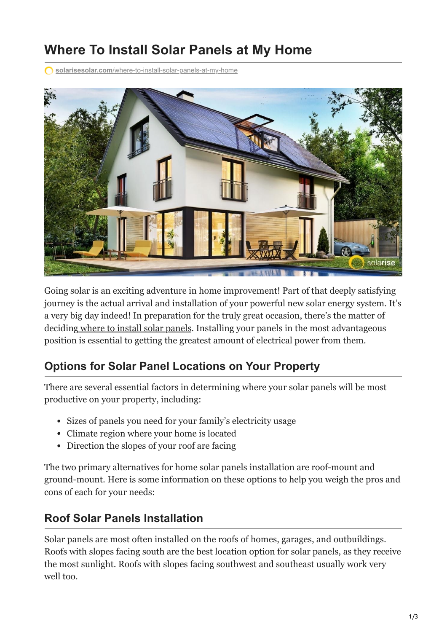# **Where To Install Solar Panels at My Home**

**solarisesolar.com**[/where-to-install-solar-panels-at-my-home](https://www.solarisesolar.com/where-to-install-solar-panels-at-my-home/)



Going solar is an exciting adventure in home improvement! Part of that deeply satisfying journey is the actual arrival and installation of your powerful new solar energy system. It's a very big day indeed! In preparation for the truly great occasion, there's the matter of decidin[g where to install solar panels](https://www.solarisesolar.com/residential-solar-panel-installation-in-colorado/). Installing your panels in the most advantageous position is essential to getting the greatest amount of electrical power from them.

## **Options for Solar Panel Locations on Your Property**

There are several essential factors in determining where your solar panels will be most productive on your property, including:

- Sizes of panels you need for your family's electricity usage
- Climate region where your home is located
- Direction the slopes of your roof are facing

The two primary alternatives for home solar panels installation are roof-mount and ground-mount. Here is some information on these options to help you weigh the pros and cons of each for your needs:

## **Roof Solar Panels Installation**

Solar panels are most often installed on the roofs of homes, garages, and outbuildings. Roofs with slopes facing south are the best location option for solar panels, as they receive the most sunlight. Roofs with slopes facing southwest and southeast usually work very well too.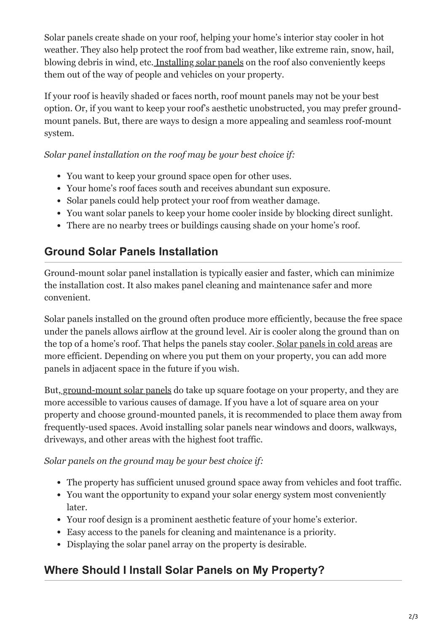Solar panels create shade on your roof, helping your home's interior stay cooler in hot weather. They also help protect the roof from bad weather, like extreme rain, snow, hail, blowing debris in wind, etc. [Installing solar panels](https://www.solarisesolar.com/3-options-for-solar-panel-installation-at-your-home/) on the roof also conveniently keeps them out of the way of people and vehicles on your property.

If your roof is heavily shaded or faces north, roof mount panels may not be your best option. Or, if you want to keep your roof's aesthetic unobstructed, you may prefer groundmount panels. But, there are ways to design a more appealing and seamless roof-mount system.

#### *Solar panel installation on the roof may be your best choice if:*

- You want to keep your ground space open for other uses.
- Your home's roof faces south and receives abundant sun exposure.
- Solar panels could help protect your roof from weather damage.
- You want solar panels to keep your home cooler inside by blocking direct sunlight.
- There are no nearby trees or buildings causing shade on your home's roof.

#### **Ground Solar Panels Installation**

Ground-mount solar panel installation is typically easier and faster, which can minimize the installation cost. It also makes panel cleaning and maintenance safer and more convenient.

Solar panels installed on the ground often produce more efficiently, because the free space under the panels allows airflow at the ground level. Air is cooler along the ground than on the top of a home's roof. That helps the panels stay cooler[. Solar panels in cold areas](https://www.solarisesolar.com/do-solar-panels-work-during-the-winter/) are more efficient. Depending on where you put them on your property, you can add more panels in adjacent space in the future if you wish.

But[, ground-mount solar panels](https://www.solarisesolar.com/ground-mount-solar-panels-in-colorado-springs/) do take up square footage on your property, and they are more accessible to various causes of damage. If you have a lot of square area on your property and choose ground-mounted panels, it is recommended to place them away from frequently-used spaces. Avoid installing solar panels near windows and doors, walkways, driveways, and other areas with the highest foot traffic.

#### *Solar panels on the ground may be your best choice if:*

- The property has sufficient unused ground space away from vehicles and foot traffic.
- You want the opportunity to expand your solar energy system most conveniently later.
- Your roof design is a prominent aesthetic feature of your home's exterior.
- Easy access to the panels for cleaning and maintenance is a priority.
- Displaying the solar panel array on the property is desirable.

## **Where Should I Install Solar Panels on My Property?**